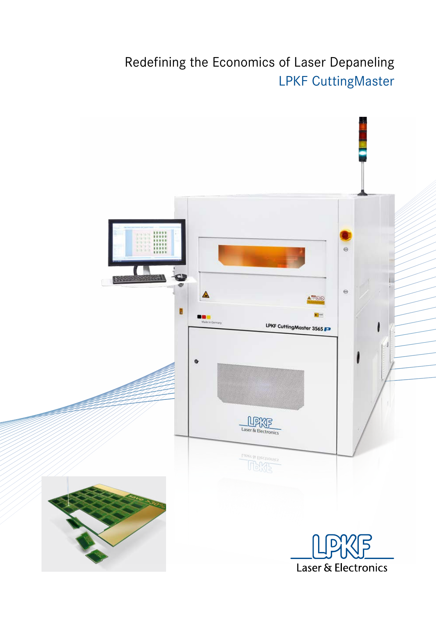### Redefining the Economics of Laser Depaneling LPKF CuttingMaster

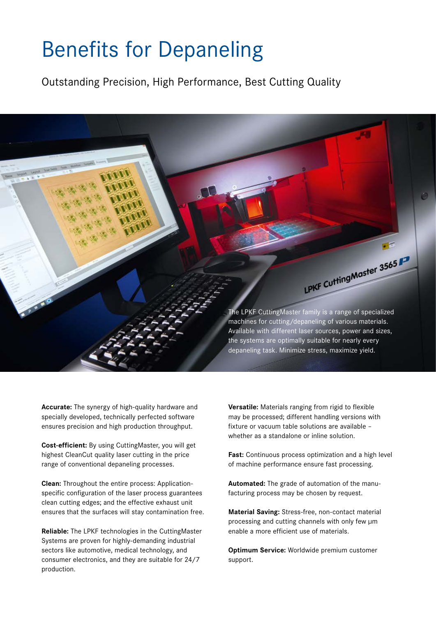### Benefits for Depaneling

Outstanding Precision, High Performance, Best Cutting Quality

The LPKF CuttingMaster family is a range of specialized machines for cutting/depaneling of various materials. Available with different laser sources, power and sizes, the systems are optimally suitable for nearly every depaneling task. Minimize stress, maximize yield.

LPKF Cutting Master 3565

**Accurate:** The synergy of high-quality hardware and specially developed, technically perfected software ensures precision and high production throughput.

**Cost-efficient:** By using CuttingMaster, you will get highest CleanCut quality laser cutting in the price range of conventional depaneling processes.

**Clean:** Throughout the entire process: Applicationspecific configuration of the laser process guarantees clean cutting edges; and the effective exhaust unit ensures that the surfaces will stay contamination free.

**Reliable:** The LPKF technologies in the CuttingMaster Systems are proven for highly-demanding industrial sectors like automotive, medical technology, and consumer electronics, and they are suitable for 24/7 production.

**Versatile:** Materials ranging from rigid to flexible may be processed; different handling versions with fixture or vacuum table solutions are available – whether as a standalone or inline solution.

**Fast:** Continuous process optimization and a high level of machine performance ensure fast processing.

**Automated:** The grade of automation of the manufacturing process may be chosen by request.

**Material Saving:** Stress-free, non-contact material processing and cutting channels with only few µm enable a more efficient use of materials.

**Optimum Service:** Worldwide premium customer support.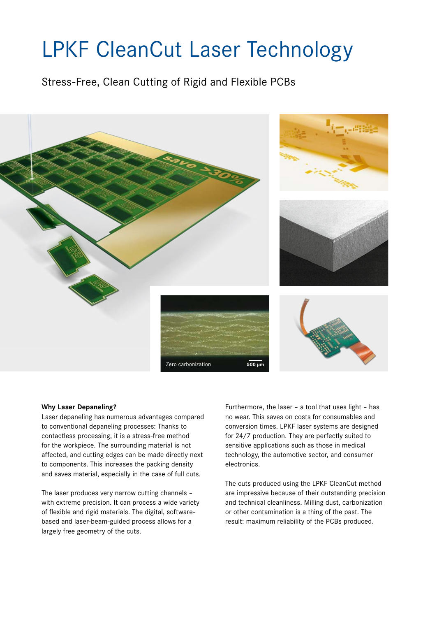## LPKF CleanCut Laser Technology

Stress-Free, Clean Cutting of Rigid and Flexible PCBs



#### **Why Laser Depaneling?**

Laser depaneling has numerous advantages compared to conventional depaneling processes: Thanks to contactless processing, it is a stress-free method for the workpiece. The surrounding material is not affected, and cutting edges can be made directly next to components. This increases the packing density and saves material, especially in the case of full cuts.

The laser produces very narrow cutting channels – with extreme precision. It can process a wide variety of flexible and rigid materials. The digital, softwarebased and laser-beam-guided process allows for a largely free geometry of the cuts.

Furthermore, the laser – a tool that uses light – has no wear. This saves on costs for consumables and conversion times. LPKF laser systems are designed for 24/7 production. They are perfectly suited to sensitive applications such as those in medical technology, the automotive sector, and consumer electronics.

The cuts produced using the LPKF CleanCut method are impressive because of their outstanding precision and technical cleanliness. Milling dust, carbonization or other contamination is a thing of the past. The result: maximum reliability of the PCBs produced.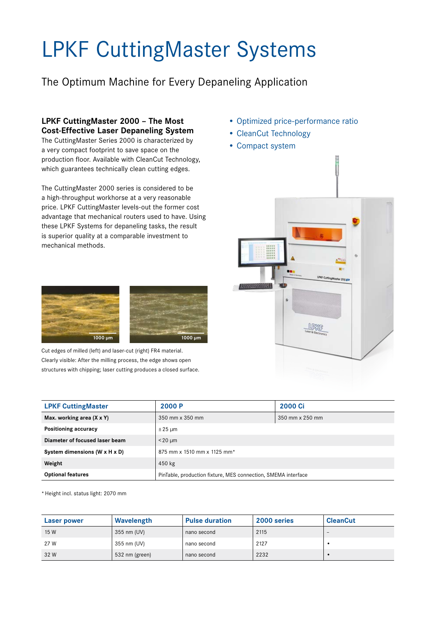# LPKF CuttingMaster Systems

The Optimum Machine for Every Depaneling Application

### **LPKF CuttingMaster 2000 – The Most Cost-Effective Laser Depaneling System**

The CuttingMaster Series 2000 is characterized by a very compact footprint to save space on the production floor. Available with CleanCut Technology, which guarantees technically clean cutting edges.

The CuttingMaster 2000 series is considered to be a high-throughput workhorse at a very reasonable price. LPKF CuttingMaster levels-out the former cost advantage that mechanical routers used to have. Using these LPKF Systems for depaneling tasks, the result is superior quality at a comparable investment to mechanical methods.

**1000 µm 1000 µm**

Cut edges of milled (left) and laser-cut (right) FR4 material. Clearly visible: After the milling process, the edge shows open structures with chipping; laser cutting produces a closed surface.

- Optimized price-performance ratio
- CleanCut Technology
- Compact system



| <b>LPKF CuttingMaster</b>                 | 2000 P                                                        | <b>2000 Ci</b>           |
|-------------------------------------------|---------------------------------------------------------------|--------------------------|
| Max. working area $(X \times Y)$          | 350 mm x 350 mm                                               | $350$ mm $\times$ 250 mm |
| Positioning accuracy                      | $\pm 25 \mu m$                                                |                          |
| Diameter of focused laser beam            | $<$ 20 $\mu$ m                                                |                          |
| System dimensions $(W \times H \times D)$ | 875 mm x 1510 mm x 1125 mm*                                   |                          |
| Weight                                    | 450 kg                                                        |                          |
| <b>Optional features</b>                  | PinTable, production fixture, MES connection, SMEMA interface |                          |

\*Height incl. status light: 2070 mm

| Laser power | Wavelength     | <b>Pulse duration</b> | 2000 series | <b>CleanCut</b>          |
|-------------|----------------|-----------------------|-------------|--------------------------|
| 15 W        | 355 nm (UV)    | nano second           | 2115        | $\overline{\phantom{0}}$ |
| 27 W        | 355 nm (UV)    | nano second           | 2127        |                          |
| 32 W        | 532 nm (green) | nano second           | 2232        |                          |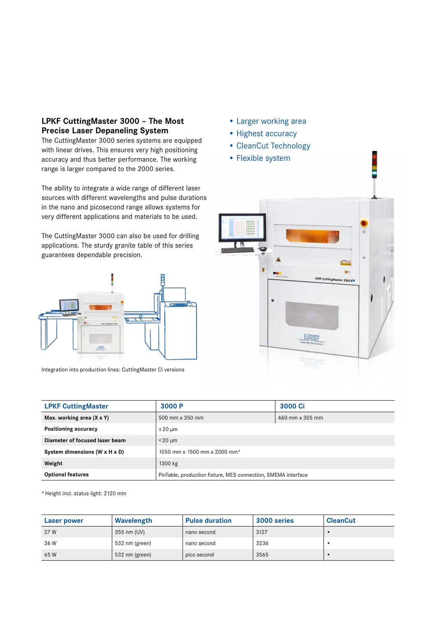#### **LPKF CuttingMaster 3000 – The Most Precise Laser Depaneling System**

The CuttingMaster 3000 series systems are equipped with linear drives. This ensures very high positioning accuracy and thus better performance. The working range is larger compared to the 2000 series.

The ability to integrate a wide range of different laser sources with different wavelengths and pulse durations in the nano and picosecond range allows systems for very different applications and materials to be used.

The CuttingMaster 3000 can also be used for drilling applications. The sturdy granite table of this series guarantees dependable precision.



Integration into production lines: CuttingMaster Ci versions

- Larger working area
- Highest accuracy
- CleanCut Technology
- Flexible system



| <b>LPKF CuttingMaster</b>                 | 3000 P                                                        | 3000 Ci         |
|-------------------------------------------|---------------------------------------------------------------|-----------------|
| Max. working area (X x Y)                 | 500 mm x 350 mm                                               | 460 mm x 305 mm |
| Positioning accuracy                      | $\pm 20 \mu m$                                                |                 |
| Diameter of focused laser beam            | $<$ 20 $\mu$ m                                                |                 |
| System dimensions $(W \times H \times D)$ | 1050 mm x 1500 mm x 2000 mm*                                  |                 |
| Weight                                    | 1300 kg                                                       |                 |
| <b>Optional features</b>                  | PinTable, production fixture, MES connection, SMEMA interface |                 |

\*Height incl. status light: 2120 mm

| Laser power | Wavelength     | <b>Pulse duration</b> | 3000 series | <b>CleanCut</b> |
|-------------|----------------|-----------------------|-------------|-----------------|
| 27 W        | 355 nm (UV)    | nano second           | 3127        |                 |
| 36 W        | 532 nm (green) | nano second           | 3236        |                 |
| 65 W        | 532 nm (green) | pico second           | 3565        |                 |